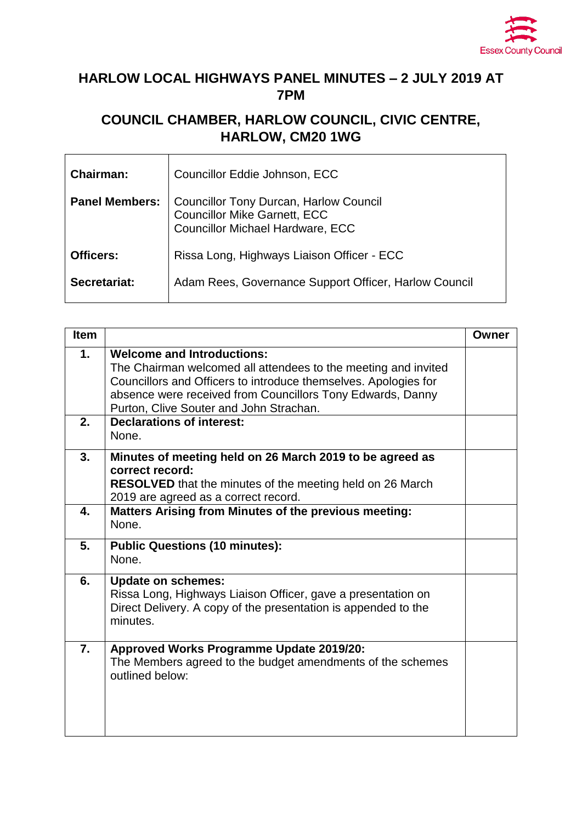

## **HARLOW LOCAL HIGHWAYS PANEL MINUTES – 2 JULY 2019 AT 7PM**

## **COUNCIL CHAMBER, HARLOW COUNCIL, CIVIC CENTRE, HARLOW, CM20 1WG**

| <b>Chairman:</b>      | Councillor Eddie Johnson, ECC                                                                                                   |
|-----------------------|---------------------------------------------------------------------------------------------------------------------------------|
| <b>Panel Members:</b> | <b>Councillor Tony Durcan, Harlow Council</b><br><b>Councillor Mike Garnett, ECC</b><br><b>Councillor Michael Hardware, ECC</b> |
| Officers:             | Rissa Long, Highways Liaison Officer - ECC                                                                                      |
| Secretariat:          | Adam Rees, Governance Support Officer, Harlow Council                                                                           |

| <b>Item</b>   |                                                                                                                                                                                                                                                                                 | Owner |
|---------------|---------------------------------------------------------------------------------------------------------------------------------------------------------------------------------------------------------------------------------------------------------------------------------|-------|
| $\mathbf 1$ . | <b>Welcome and Introductions:</b><br>The Chairman welcomed all attendees to the meeting and invited<br>Councillors and Officers to introduce themselves. Apologies for<br>absence were received from Councillors Tony Edwards, Danny<br>Purton, Clive Souter and John Strachan. |       |
| 2.            | <b>Declarations of interest:</b><br>None.                                                                                                                                                                                                                                       |       |
| 3.            | Minutes of meeting held on 26 March 2019 to be agreed as<br>correct record:<br><b>RESOLVED</b> that the minutes of the meeting held on 26 March<br>2019 are agreed as a correct record.                                                                                         |       |
| 4.            | Matters Arising from Minutes of the previous meeting:<br>None.                                                                                                                                                                                                                  |       |
| 5.            | <b>Public Questions (10 minutes):</b><br>None.                                                                                                                                                                                                                                  |       |
| 6.            | <b>Update on schemes:</b><br>Rissa Long, Highways Liaison Officer, gave a presentation on<br>Direct Delivery. A copy of the presentation is appended to the<br>minutes.                                                                                                         |       |
| 7.            | <b>Approved Works Programme Update 2019/20:</b><br>The Members agreed to the budget amendments of the schemes<br>outlined below:                                                                                                                                                |       |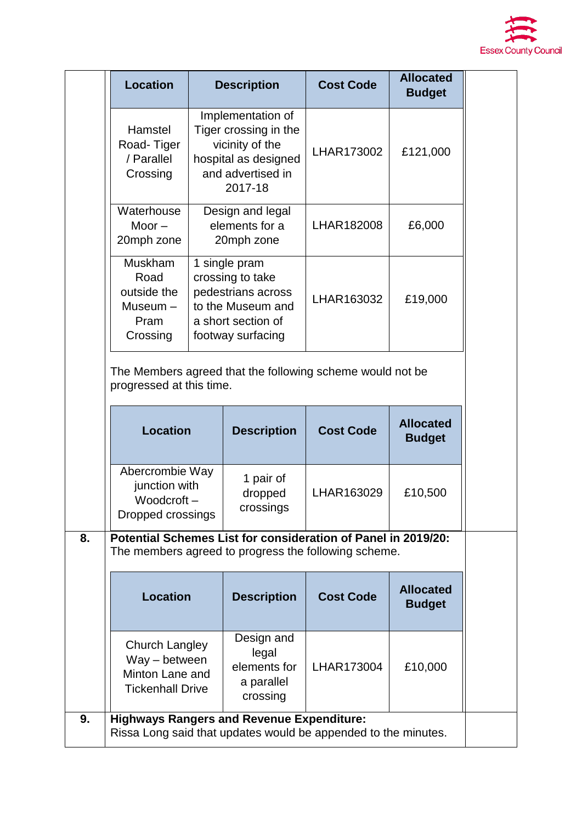

|    | <b>Location</b>                                                                                                       |                                                                                                                                                                           | <b>Description</b>                                                                                                      | <b>Cost Code</b> | <b>Allocated</b><br><b>Budget</b> |  |  |
|----|-----------------------------------------------------------------------------------------------------------------------|---------------------------------------------------------------------------------------------------------------------------------------------------------------------------|-------------------------------------------------------------------------------------------------------------------------|------------------|-----------------------------------|--|--|
|    | Hamstel<br>Road-Tiger<br>/ Parallel<br>Crossing                                                                       | Implementation of<br>Tiger crossing in the<br>vicinity of the<br>hospital as designed<br>and advertised in<br>2017-18<br>Design and legal<br>elements for a<br>20mph zone |                                                                                                                         | LHAR173002       | £121,000                          |  |  |
|    | Waterhouse<br>Moor $-$<br>20mph zone                                                                                  |                                                                                                                                                                           |                                                                                                                         | LHAR182008       | £6,000                            |  |  |
|    | Muskham<br>Road<br>outside the<br>$Museum -$<br>Pram<br>Crossing                                                      |                                                                                                                                                                           | 1 single pram<br>crossing to take<br>pedestrians across<br>to the Museum and<br>a short section of<br>footway surfacing | LHAR163032       | £19,000                           |  |  |
|    | The Members agreed that the following scheme would not be<br>progressed at this time.                                 |                                                                                                                                                                           |                                                                                                                         |                  |                                   |  |  |
|    | <b>Location</b>                                                                                                       |                                                                                                                                                                           | <b>Description</b>                                                                                                      | <b>Cost Code</b> | <b>Allocated</b><br><b>Budget</b> |  |  |
|    | Abercrombie Way<br>junction with<br>Woodcroft-<br>Dropped crossings                                                   |                                                                                                                                                                           | 1 pair of<br>dropped<br>crossings                                                                                       | LHAR163029       | £10,500                           |  |  |
| 8. | Potential Schemes List for consideration of Panel in 2019/20:<br>The members agreed to progress the following scheme. |                                                                                                                                                                           |                                                                                                                         |                  |                                   |  |  |
|    | <b>Location</b>                                                                                                       |                                                                                                                                                                           | <b>Description</b>                                                                                                      | <b>Cost Code</b> | <b>Allocated</b><br><b>Budget</b> |  |  |
|    | Church Langley<br>Way - between<br>Minton Lane and<br><b>Tickenhall Drive</b>                                         |                                                                                                                                                                           | Design and<br>legal<br>elements for<br>a parallel<br>crossing                                                           | LHAR173004       | £10,000                           |  |  |
|    |                                                                                                                       |                                                                                                                                                                           |                                                                                                                         |                  |                                   |  |  |